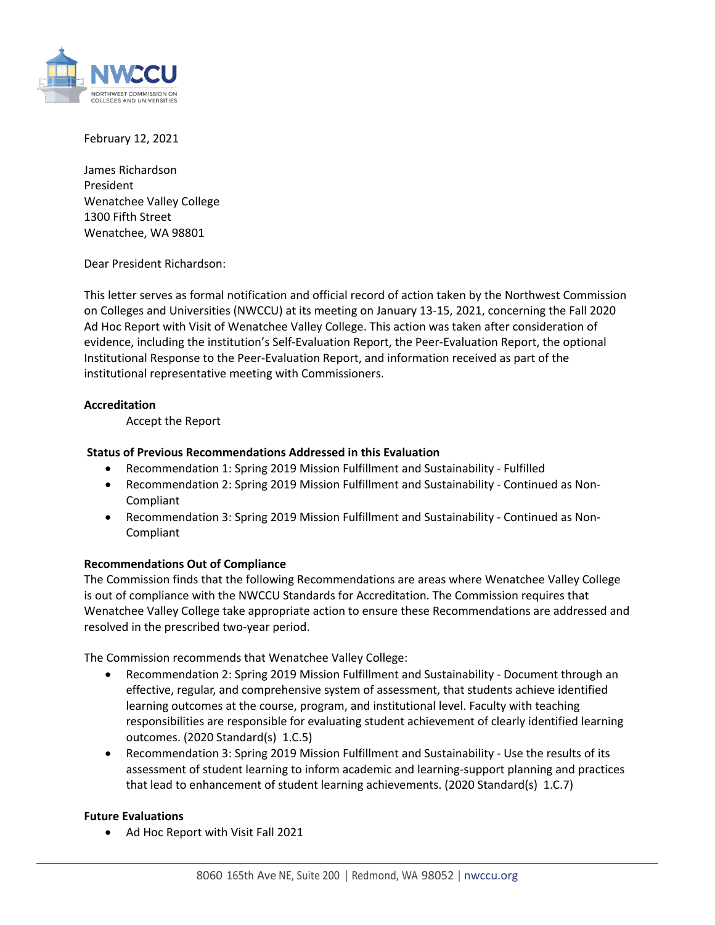

February 12, 2021

James Richardson President Wenatchee Valley College 1300 Fifth Street Wenatchee, WA 98801

Dear President Richardson:

This letter serves as formal notification and official record of action taken by the Northwest Commission on Colleges and Universities (NWCCU) at its meeting on January 13-15, 2021, concerning the Fall 2020 Ad Hoc Report with Visit of Wenatchee Valley College. This action was taken after consideration of evidence, including the institution's Self-Evaluation Report, the Peer-Evaluation Report, the optional Institutional Response to the Peer-Evaluation Report, and information received as part of the institutional representative meeting with Commissioners.

## **Accreditation**

Accept the Report

## **Status of Previous Recommendations Addressed in this Evaluation**

- Recommendation 1: Spring 2019 Mission Fulfillment and Sustainability Fulfilled
- Recommendation 2: Spring 2019 Mission Fulfillment and Sustainability Continued as Non-Compliant
- Recommendation 3: Spring 2019 Mission Fulfillment and Sustainability Continued as Non-Compliant

## **Recommendations Out of Compliance**

The Commission finds that the following Recommendations are areas where Wenatchee Valley College is out of compliance with the NWCCU Standards for Accreditation. The Commission requires that Wenatchee Valley College take appropriate action to ensure these Recommendations are addressed and resolved in the prescribed two-year period.

The Commission recommends that Wenatchee Valley College:

- Recommendation 2: Spring 2019 Mission Fulfillment and Sustainability Document through an effective, regular, and comprehensive system of assessment, that students achieve identified learning outcomes at the course, program, and institutional level. Faculty with teaching responsibilities are responsible for evaluating student achievement of clearly identified learning outcomes. (2020 Standard(s) 1.C.5)
- Recommendation 3: Spring 2019 Mission Fulfillment and Sustainability Use the results of its assessment of student learning to inform academic and learning-support planning and practices that lead to enhancement of student learning achievements. (2020 Standard(s) 1.C.7)

## **Future Evaluations**

• Ad Hoc Report with Visit Fall 2021